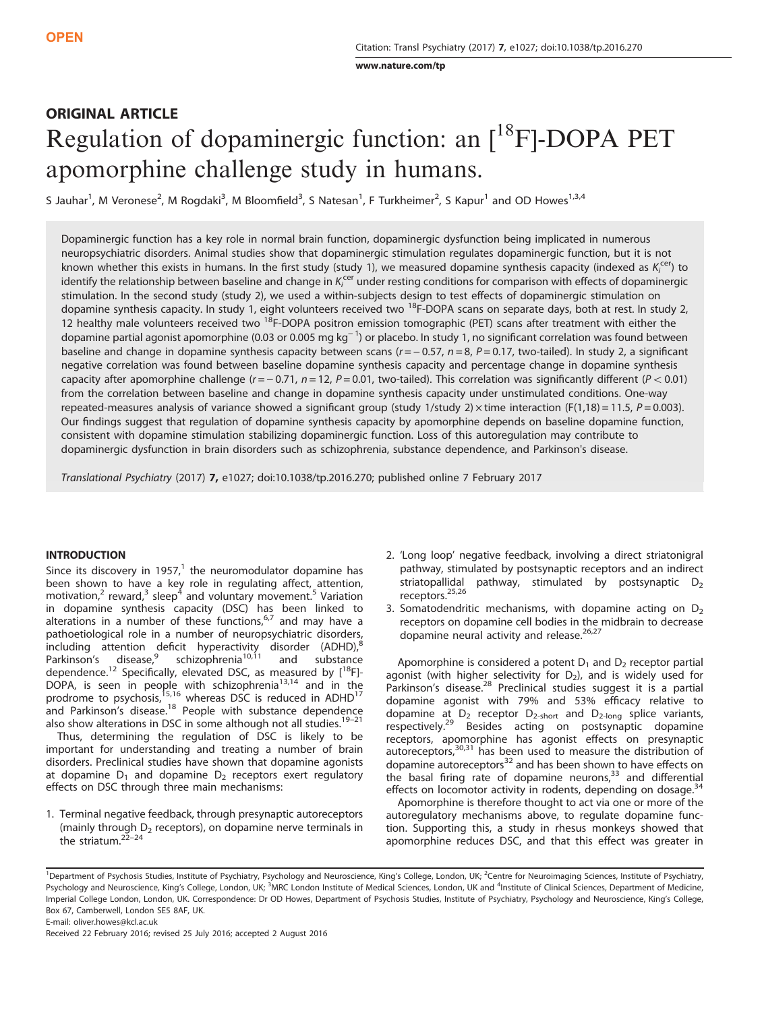[www.nature.com/tp](http://www.nature.com/tp)

# ORIGINAL ARTICLE Regulation of dopaminergic function: an [<sup>18</sup>F]-DOPA PET apomorphine challenge study in humans.

S Jauhar<sup>1</sup>, M Veronese<sup>2</sup>, M Rogdaki<sup>3</sup>, M Bloomfield<sup>3</sup>, S Natesan<sup>1</sup>, F Turkheimer<sup>2</sup>, S Kapur<sup>1</sup> and OD Howes<sup>1,3,4</sup>

Dopaminergic function has a key role in normal brain function, dopaminergic dysfunction being implicated in numerous neuropsychiatric disorders. Animal studies show that dopaminergic stimulation regulates dopaminergic function, but it is not known whether this exists in humans. In the first study (study 1), we measured dopamine synthesis capacity (indexed as  $K_i^{cer}$ ) to identify the relationship between baseline and change in  $K_i^{\rm cer}$  under resting conditions for comparison with effects of dopaminergic stimulation. In the second study (study 2), we used a within-subjects design to test effects of dopaminergic stimulation on dopamine synthesis capacity. In study 1, eight volunteers received two 18F-DOPA scans on separate days, both at rest. In study 2, 12 healthy male volunteers received two <sup>18</sup>F-DOPA positron emission tomographic (PET) scans after treatment with either the dopamine partial agonist apomorphine (0.03 or 0.005 mg kg<sup>−1</sup>) or placebo. In study 1, no significant correlation was found between baseline and change in dopamine synthesis capacity between scans  $(r = -0.57, n = 8, P = 0.17,$  two-tailed). In study 2, a significant negative correlation was found between baseline dopamine synthesis capacity and percentage change in dopamine synthesis capacity after apomorphine challenge  $(r = -0.71, n = 12, P = 0.01,$  two-tailed). This correlation was significantly different  $(P < 0.01)$ from the correlation between baseline and change in dopamine synthesis capacity under unstimulated conditions. One-way repeated-measures analysis of variance showed a significant group (study 1/study 2)  $\times$  time interaction (F(1,18) = 11.5, P = 0.003). Our findings suggest that regulation of dopamine synthesis capacity by apomorphine depends on baseline dopamine function, consistent with dopamine stimulation stabilizing dopaminergic function. Loss of this autoregulation may contribute to dopaminergic dysfunction in brain disorders such as schizophrenia, substance dependence, and Parkinson's disease.

Translational Psychiatry (2017) 7, e1027; doi[:10.1038/tp.2016.270;](http://dx.doi.org/10.1038/tp.2016.270) published online 7 February 2017

# INTRODUCTION

Since its discovery in [1](#page-4-0)957, $1$  the neuromodulator dopamine has been shown to have a key role in regulating affect, attention, motivation,<sup>2</sup> reward,<sup>[3](#page-4-0)</sup> sleep<sup>[4](#page-5-0)</sup> and voluntary movement.<sup>[5](#page-5-0)</sup> Variation in dopamine synthesis capacity (DSC) has been linked to alterations in a number of these functions,<sup>[6](#page-5-0),[7](#page-5-0)</sup> and may have a pathoetiological role in a number of neuropsychiatric disorders,  $\frac{1}{2}$  including attention deficit hyperactivity disorder (ADHD), $\frac{1}{2}$ Parkinson's disease,<sup>[9](#page-5-0)</sup> schizophrenia<sup>[10](#page-5-0),[11](#page-5-0)</sup> and substance Parkinson's disease, schizophrenia<sup>10,11</sup> and substance dependence.<sup>[12](#page-5-0)</sup> Specifically, elevated DSC, as measured by  $[1^8F]$ -DOPA, is seen in people with schizophrenia<sup>13,14</sup> and in the prodrome to psychosis,<sup>[15,16](#page-5-0)</sup> whereas DSC is reduced in ADHD<sup>[17](#page-5-0)</sup> and Parkinson's disease.<sup>[18](#page-5-0)</sup> People with substance dependence also show alterations in DSC in some although not all studies.<sup>19-[21](#page-5-0)</sup>

Thus, determining the regulation of DSC is likely to be important for understanding and treating a number of brain disorders. Preclinical studies have shown that dopamine agonists at dopamine  $D_1$  and dopamine  $D_2$  receptors exert regulatory effects on DSC through three main mechanisms:

1. Terminal negative feedback, through presynaptic autoreceptors (mainly through  $D_2$  receptors), on dopamine nerve terminals in the striatum. $2^{2-24}$ 

- 2. 'Long loop' negative feedback, involving a direct striatonigral pathway, stimulated by postsynaptic receptors and an indirect striatopallidal pathway, stimulated by postsynaptic  $D_2$ receptors.<sup>[25](#page-5-0),[26](#page-5-0)</sup>
- 3. Somatodendritic mechanisms, with dopamine acting on  $D_2$ receptors on dopamine cell bodies in the midbrain to decrease dopamine neural activity and release.<sup>[26](#page-5-0),[27](#page-5-0)</sup>

Apomorphine is considered a potent  $D_1$  and  $D_2$  receptor partial agonist (with higher selectivity for  $D_2$ ), and is widely used for Parkinson's disease.[28](#page-5-0) Preclinical studies suggest it is a partial dopamine agonist with 79% and 53% efficacy relative to dopamine at D<sub>2</sub> receptor D<sub>2-short</sub> and D<sub>2-long</sub> splice variants,<br>respectively.<sup>[29](#page-5-0)</sup> Besides acting on postsynaptic dopamine receptors, apomorphine has agonist effects on presynaptic<br>autoreceptors,<sup>[30,31](#page-5-0)</sup> has been used to measure the distribution of dopamine autoreceptors $32$  and has been shown to have effects on the basal firing rate of dopamine neurons, $33$  and differential effects on locomotor activity in rodents, depending on dosage. $34$ 

Apomorphine is therefore thought to act via one or more of the autoregulatory mechanisms above, to regulate dopamine function. Supporting this, a study in rhesus monkeys showed that apomorphine reduces DSC, and that this effect was greater in

<sup>&</sup>lt;sup>1</sup>Department of Psychosis Studies, Institute of Psychiatry, Psychology and Neuroscience, King's College, London, UK; <sup>2</sup>Centre for Neuroimaging Sciences, Institute of Psychiatry, Psychology and Neuroscience, King's College, London, UK; <sup>3</sup>MRC London Institute of Medical Sciences, London, UK and <sup>4</sup>Institute of Clinical Sciences, Department of Medicine, Imperial College London, London, UK. Correspondence: Dr OD Howes, Department of Psychosis Studies, Institute of Psychiatry, Psychology and Neuroscience, King's College, Box 67, Camberwell, London SE5 8AF, UK. E-mail: [oliver.howes@kcl.ac.uk](mailto:oliver.howes@kcl.ac.uk)

Received 22 February 2016; revised 25 July 2016; accepted 2 August 2016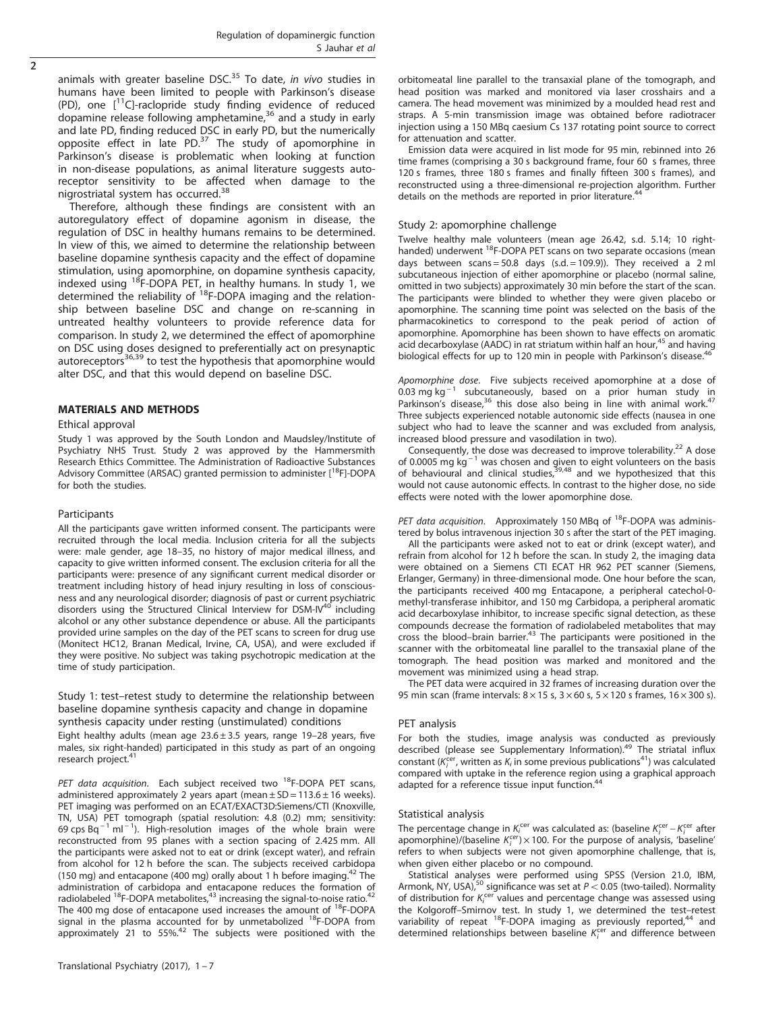animals with greater baseline DSC. $35$  To date, in vivo studies in humans have been limited to people with Parkinson's disease (PD), one  $[$ <sup>11</sup>C]-raclopride study finding evidence of reduced dopamine release following amphetamine, $36$  and a study in early and late PD, finding reduced DSC in early PD, but the numerically opposite effect in late PD. $37$  The study of apomorphine in Parkinson's disease is problematic when looking at function in non-disease populations, as animal literature suggests autoreceptor sensitivity to be affected when damage to the nigrostriatal system has occurred.[38](#page-5-0)

Therefore, although these findings are consistent with an autoregulatory effect of dopamine agonism in disease, the regulation of DSC in healthy humans remains to be determined. In view of this, we aimed to determine the relationship between baseline dopamine synthesis capacity and the effect of dopamine stimulation, using apomorphine, on dopamine synthesis capacity, indexed using <sup>18</sup>F-DOPA PET, in healthy humans. In study 1, we determined the reliability of <sup>18</sup>F-DOPA imaging and the relationship between baseline DSC and change on re-scanning in untreated healthy volunteers to provide reference data for comparison. In study 2, we determined the effect of apomorphine on DSC using doses designed to preferentially act on presynaptic autoreceptors<sup>[36](#page-5-0),[39](#page-5-0)</sup> to test the hypothesis that apomorphine would alter DSC, and that this would depend on baseline DSC.

# MATERIALS AND METHODS

## Ethical approval

Study 1 was approved by the South London and Maudsley/Institute of Psychiatry NHS Trust. Study 2 was approved by the Hammersmith Research Ethics Committee. The Administration of Radioactive Substances Advisory Committee (ARSAC) granted permission to administer [<sup>18</sup>F]-DOPA for both the studies.

## Participants

All the participants gave written informed consent. The participants were recruited through the local media. Inclusion criteria for all the subjects were: male gender, age 18–35, no history of major medical illness, and capacity to give written informed consent. The exclusion criteria for all the participants were: presence of any significant current medical disorder or treatment including history of head injury resulting in loss of consciousness and any neurological disorder; diagnosis of past or current psychiatric disorders using the Structured Clinical Interview for DSM-IV<sup>[40](#page-5-0)</sup> including alcohol or any other substance dependence or abuse. All the participants provided urine samples on the day of the PET scans to screen for drug use (Monitect HC12, Branan Medical, Irvine, CA, USA), and were excluded if they were positive. No subject was taking psychotropic medication at the time of study participation.

# Study 1: test–retest study to determine the relationship between baseline dopamine synthesis capacity and change in dopamine synthesis capacity under resting (unstimulated) conditions

Eight healthy adults (mean age  $23.6 \pm 3.5$  years, range 19-28 years, five males, six right-handed) participated in this study as part of an ongoing research project.<sup>[41](#page-5-0)</sup>

PET data acquisition. Each subject received two  $^{18}$ F-DOPA PET scans, administered approximately 2 years apart (mean  $\pm$  SD = 113.6  $\pm$  16 weeks). PET imaging was performed on an ECAT/EXACT3D:Siemens/CTI (Knoxville, TN, USA) PET tomograph (spatial resolution: 4.8 (0.2) mm; sensitivity:  $69$  cps Bq<sup>-1</sup> ml<sup>-1</sup>). High-resolution images of the whole brain were reconstructed from 95 planes with a section spacing of 2.425 mm. All the participants were asked not to eat or drink (except water), and refrain from alcohol for 12 h before the scan. The subjects received carbidopa (150 mg) and entacapone (400 mg) orally about 1 h before imaging.<sup>[42](#page-5-0)</sup> The administration of carbidopa and entacapone reduces the formation of radiolabeled  $^{18}$ F-DOPA metabolites, $^{43}$  increasing the signal-to-noise ratio. $^{42}$  $^{42}$  $^{42}$ The 400 mg dose of entacapone used increases the amount of <sup>18</sup>F-DOPA signal in the plasma accounted for by unmetabolized <sup>18</sup>F-DOPA from approximately 21 to 55%. $42$  The subjects were positioned with the orbitomeatal line parallel to the transaxial plane of the tomograph, and head position was marked and monitored via laser crosshairs and a camera. The head movement was minimized by a moulded head rest and straps. A 5-min transmission image was obtained before radiotracer injection using a 150 MBq caesium Cs 137 rotating point source to correct for attenuation and scatter.

Emission data were acquired in list mode for 95 min, rebinned into 26 time frames (comprising a 30 s background frame, four 60 s frames, three 120 s frames, three 180 s frames and finally fifteen 300 s frames), and reconstructed using a three-dimensional re-projection algorithm. Further details on the methods are reported in prior literature.<sup>4</sup>

## Study 2: apomorphine challenge

Twelve healthy male volunteers (mean age 26.42, s.d. 5.14; 10 righthanded) underwent <sup>18</sup>F-DOPA PET scans on two separate occasions (mean days between scans = 50.8 days (s.d. = 109.9)). They received a 2 ml subcutaneous injection of either apomorphine or placebo (normal saline, omitted in two subjects) approximately 30 min before the start of the scan. The participants were blinded to whether they were given placebo or apomorphine. The scanning time point was selected on the basis of the pharmacokinetics to correspond to the peak period of action of apomorphine. Apomorphine has been shown to have effects on aromatic acid decarboxylase (AADC) in rat striatum within half an hour,<sup>[45](#page-5-0)</sup> and having biological effects for up to 120 min in people with Parkinson's disease.<sup>4</sup>

Apomorphine dose. Five subjects received apomorphine at a dose of  $0.03$  mg kg<sup>-1</sup> subcutaneously, based on a prior human study in Parkinson's disease, $36$  this dose also being in line with animal work. $47$ Three subjects experienced notable autonomic side effects (nausea in one subject who had to leave the scanner and was excluded from analysis, increased blood pressure and vasodilation in two).

Consequently, the dose was decreased to improve tolerability.<sup>[22](#page-5-0)</sup> A dose of 0.0005 mg kg<sup>-1</sup> was chosen and given to eight volunteers on the basis of behavioural and clinical studies,  $39,48$  and we hypothesized that this would not cause autonomic effects. In contrast to the higher dose, no side effects were noted with the lower apomorphine dose.

PET data acquisition. Approximately 150 MBq of  $^{18}$ F-DOPA was administered by bolus intravenous injection 30 s after the start of the PET imaging.

All the participants were asked not to eat or drink (except water), and refrain from alcohol for 12 h before the scan. In study 2, the imaging data were obtained on a Siemens CTI ECAT HR 962 PET scanner (Siemens, Erlanger, Germany) in three-dimensional mode. One hour before the scan, the participants received 400 mg Entacapone, a peripheral catechol-0 methyl-transferase inhibitor, and 150 mg Carbidopa, a peripheral aromatic acid decarboxylase inhibitor, to increase specific signal detection, as these compounds decrease the formation of radiolabeled metabolites that may cross the blood–brain barrier.<sup>[43](#page-5-0)</sup> The participants were positioned in the scanner with the orbitomeatal line parallel to the transaxial plane of the tomograph. The head position was marked and monitored and the movement was minimized using a head strap.

The PET data were acquired in 32 frames of increasing duration over the 95 min scan (frame intervals:  $8 \times 15$  s,  $3 \times 60$  s,  $5 \times 120$  s frames,  $16 \times 300$  s).

# PET analysis

For both the studies, image analysis was conducted as previously described (please see Supplementary Information).<sup>49</sup> The striatal influx constant ( $K_i^{cer}$ , written as  $K_i$  in some previous publications<sup>41</sup>) was calculated compared with uptake in the reference region using a graphical approach adapted for a reference tissue input function.<sup>4</sup>

## Statistical analysis

The percentage change in  $K_i^{cer}$  was calculated as: (baseline  $K_i^{cer} - K_i^{cer}$  after apomorphine)/(baseline  $K_i^{cer}$ ) × 100. For the purpose of analysis, 'baseline' refers to when subjects were not given apomorphine challenge, that is, when given either placebo or no compound.

Statistical analyses were performed using SPSS (Version 21.0, IBM, Armonk, NY, USA),<sup>50</sup> significance was set at  $P < 0.05$  (two-tailed). Normality of distribution for  $K_i^{cer}$  values and percentage change was assessed using the Kolgoroff–Smirnov test. In study 1, we determined the test–retest variability of repeat  $^{18}$ F-DOPA imaging as previously reported, $^{44}$  $^{44}$  $^{44}$  and determined relationships between baseline  $K_i^{\text{cer}}$  and difference between

 $\overline{2}$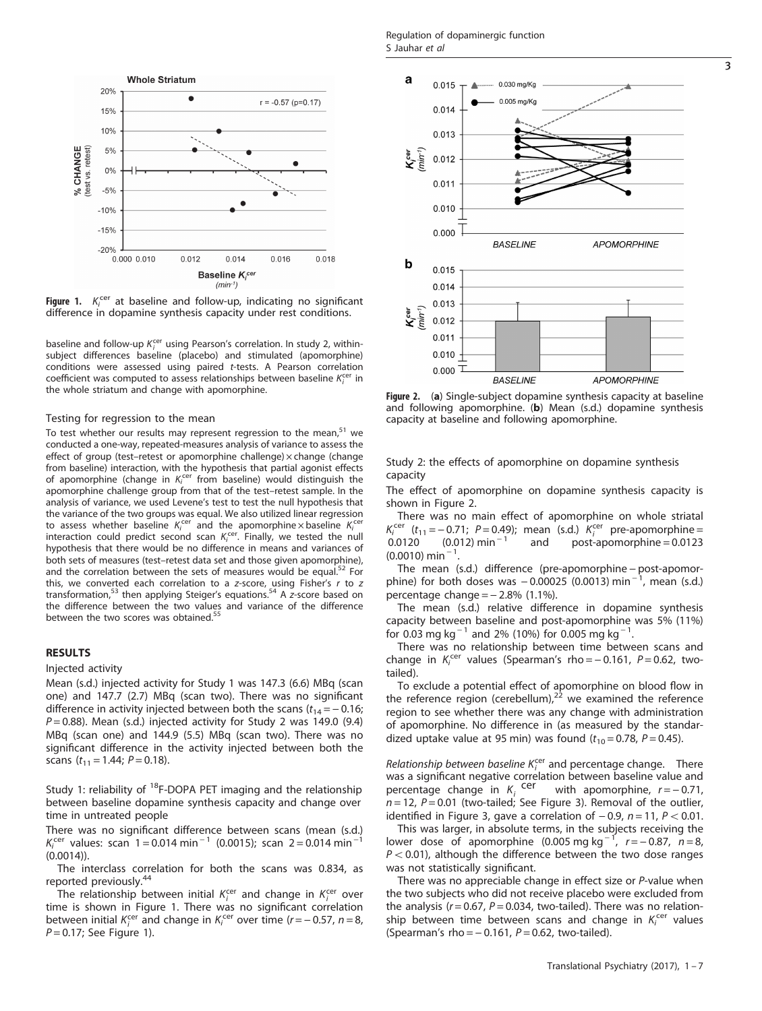<span id="page-2-0"></span>

**Figure 1.**  $K_i^{cer}$  at baseline and follow-up, indicating no significant difference in dopamine synthesis capacity under rest conditions. difference in dopamine synthesis capacity under rest conditions.

baseline and follow-up  $K_i^{cer}$  using Pearson's correlation. In study 2, withinsubject differences baseline (placebo) and stimulated (apomorphine) conditions were assessed using paired t-tests. A Pearson correlation coefficient was computed to assess relationships between baseline  $K_i^{cer}$  in the whole striatum and change with apomorphine.

#### Testing for regression to the mean

To test whether our results may represent regression to the mean, $51$  we conducted a one-way, repeated-measures analysis of variance to assess the effect of group (test-retest or apomorphine challenge) x change (change from baseline) interaction, with the hypothesis that partial agonist effects of apomorphine (change in  $K_i^{cer}$  from baseline) would distinguish the apomorphine challenge group from that of the test–retest sample. In the analysis of variance, we used Levene's test to test the null hypothesis that the variance of the two groups was equal. We also utilized linear regression to assess whether baseline  $K_i^{\text{cer}}$  and the apomorphine x baseline  $K_i^{\text{cer}}$ interaction could predict second scan  $K_i^{cer}$ . Finally, we tested the null hypothesis that there would be no difference in means and variances of both sets of measures (test–retest data set and those given apomorphine), and the correlation between the sets of measures would be equal.<sup>52</sup> For this, we converted each correlation to a z-score, using Fisher's  $r$  to  $z$ transformation, $53$  then applying Steiger's equations.<sup>54</sup> A z-score based on the difference between the two values and variance of the difference between the two scores was obtained.<sup>[55](#page-6-0)</sup>

# RESULTS

#### Injected activity

Mean (s.d.) injected activity for Study 1 was 147.3 (6.6) MBq (scan one) and 147.7 (2.7) MBq (scan two). There was no significant difference in activity injected between both the scans  $(t_{14} = -0.16)$ ;  $P = 0.88$ ). Mean (s.d.) injected activity for Study 2 was 149.0 (9.4) MBq (scan one) and 144.9 (5.5) MBq (scan two). There was no significant difference in the activity injected between both the scans ( $t_{11}$  = 1.44;  $P$  = 0.18).

Study 1: reliability of  $^{18}$ F-DOPA PET imaging and the relationship between baseline dopamine synthesis capacity and change over time in untreated people

There was no significant difference between scans (mean (s.d.)  $K_i^{cer}$  values: scan 1 = 0.014 min<sup>-1</sup> (0.0015); scan 2 = 0.014 min<sup>-1</sup> (0.0014)).

The interclass correlation for both the scans was 0.834, as reported previously.[44](#page-5-0)

The relationship between initial  $K_i^{\text{cer}}$  and change in  $K_i^{\text{cer}}$  over time is shown in Figure 1. There was no significant correlation between initial  $K_i^{cer}$  and change in  $K_i^{cer}$  over time (r = -0.57, n = 8,  $P = 0.17$ ; See Figure 1).



Figure 2. (a) Single-subject dopamine synthesis capacity at baseline and following apomorphine. (b) Mean (s.d.) dopamine synthesis capacity at baseline and following apomorphine.

Study 2: the effects of apomorphine on dopamine synthesis capacity

The effect of apomorphine on dopamine synthesis capacity is shown in Figure 2.

There was no main effect of apomorphine on whole striatal  $K_i^{\text{cer}}$  ( $t_{11} = -0.71$ ; P=0.49); mean (s.d.)  $K_i^{\text{cer}}$  pre-apomorphine= 0.0120  $(0.012)$  min<sup>-1</sup> and post-apomorphine = 0.0123  $(0.0010)$  min<sup>-1</sup> .

The mean (s.d.) difference (pre-apomorphine – post-apomorphine) for both doses was  $-0.00025(0.0013)$  min<sup>-1</sup>, mean (s.d.) percentage change  $=$   $-$  2.8% (1.1%).

The mean (s.d.) relative difference in dopamine synthesis capacity between baseline and post-apomorphine was 5% (11%) for 0.03 mg kg<sup>-1</sup> and 2% (10%) for 0.005 mg kg<sup>-1</sup>. .

There was no relationship between time between scans and change in  $K_i^{cer}$  values (Spearman's rho = -0.161, P = 0.62, twotailed).

To exclude a potential effect of apomorphine on blood flow in the reference region (cerebellum), $^{22}$  $^{22}$  $^{22}$  we examined the reference region to see whether there was any change with administration of apomorphine. No difference in (as measured by the standardized uptake value at 95 min) was found  $(t_{10} = 0.78, P = 0.45)$ .

Relationship between baseline  $K_i^{cer}$  and percentage change. There was a significant negative correlation between baseline value and percentage change in  $K_i$  cer with apomorphine,  $r = -0.71$ ,  $n = 12$ ,  $P = 0.01$  (two-tailed; See [Figure 3](#page-3-0)). Removal of the outlier, identified in [Figure 3,](#page-3-0) gave a correlation of  $-0.9$ ,  $n = 11$ ,  $P < 0.01$ .

This was larger, in absolute terms, in the subjects receiving the lower dose of apomorphine  $(0.005 \text{ mg kg}^{-1})$ ,  $r = -0.87$ ,  $n = 8$ ,  $P < 0.01$ ), although the difference between the two dose ranges was not statistically significant.

There was no appreciable change in effect size or P-value when the two subjects who did not receive placebo were excluded from the analysis ( $r = 0.67$ ,  $P = 0.034$ , two-tailed). There was no relationship between time between scans and change in  $K_i^{\text{cer}}$  values (Spearman's rho =  $-0.161$ ,  $P = 0.62$ , two-tailed).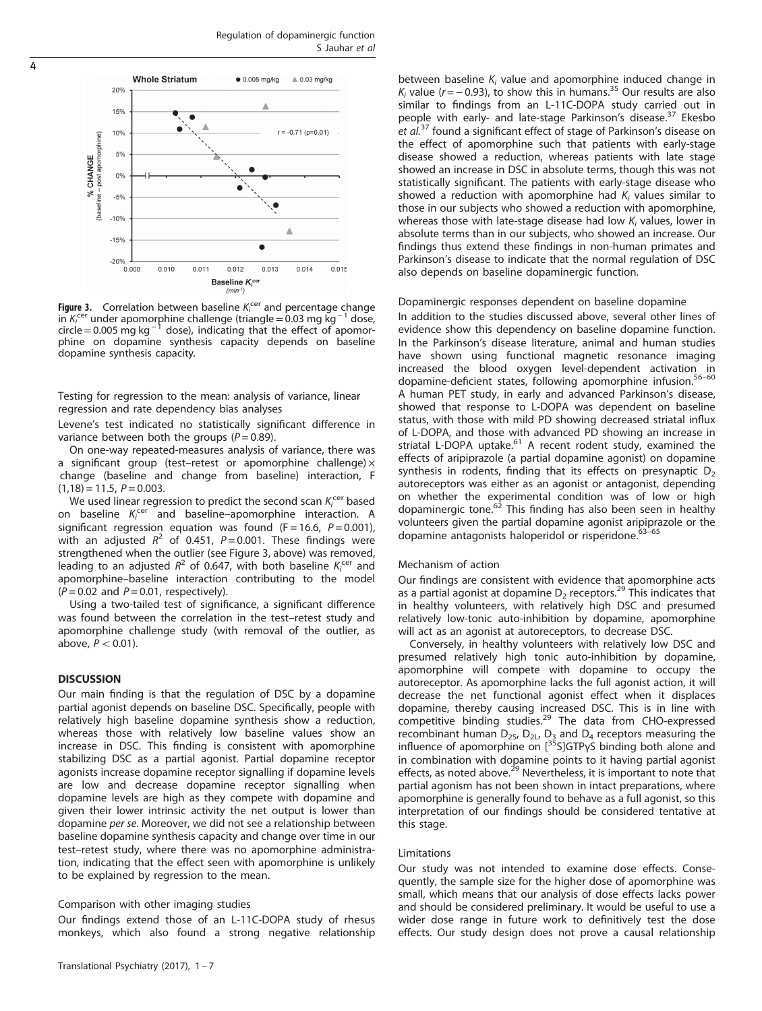<span id="page-3-0"></span>

**Figure 3.** Correlation between baseline Ki<sup>cer</sup> and percentage change<br>in Ki<sup>cer</sup> under apomorphine challenge (triangle = 0.03 mg kg <sup>− 1</sup> dose, Figure 3. Correlation between baseline  $K_i^{cer}$  and percentage change  $circle = 0.005$  mg kg<sup>-1</sup> dose), indicating that the effect of apomorphine on dopamine synthesis capacity depends on baseline dopamine synthesis capacity.

Testing for regression to the mean: analysis of variance, linear regression and rate dependency bias analyses

Levene's test indicated no statistically significant difference in variance between both the groups ( $P = 0.89$ ).

On one-way repeated-measures analysis of variance, there was a significant group (test–retest or apomorphine challenge) $\times$ change (baseline and change from baseline) interaction, F  $(1,18) = 11.5, P = 0.003.$ 

We used linear regression to predict the second scan  $K_i^{\text{cer}}$  based on baseline  $K_i^{cer}$  and baseline–apomorphine interaction. A significant regression equation was found (F = 16.6,  $P = 0.001$ ), with an adjusted  $R^2$  of 0.451, P = 0.001. These findings were strengthened when the outlier (see Figure 3, above) was removed, leading to an adjusted  $R^2$  of 0.647, with both baseline  $K_i^{\text{cer}}$  and apomorphine–baseline interaction contributing to the model  $(P = 0.02$  and  $P = 0.01$ , respectively).

Using a two-tailed test of significance, a significant difference was found between the correlation in the test–retest study and apomorphine challenge study (with removal of the outlier, as above,  $P < 0.01$ ).

## **DISCUSSION**

Our main finding is that the regulation of DSC by a dopamine partial agonist depends on baseline DSC. Specifically, people with relatively high baseline dopamine synthesis show a reduction, whereas those with relatively low baseline values show an increase in DSC. This finding is consistent with apomorphine stabilizing DSC as a partial agonist. Partial dopamine receptor agonists increase dopamine receptor signalling if dopamine levels are low and decrease dopamine receptor signalling when dopamine levels are high as they compete with dopamine and given their lower intrinsic activity the net output is lower than dopamine per se. Moreover, we did not see a relationship between baseline dopamine synthesis capacity and change over time in our test–retest study, where there was no apomorphine administration, indicating that the effect seen with apomorphine is unlikely to be explained by regression to the mean.

# Comparison with other imaging studies

Our findings extend those of an L-11C-DOPA study of rhesus monkeys, which also found a strong negative relationship

Translational Psychiatry (2017), 1 – 7

between baseline  $K_i$  value and apomorphine induced change in K<sub>i</sub> value ( $r = -0.93$ ), to show this in humans.<sup>[35](#page-5-0)</sup> Our results are also similar to findings from an L-11C-DOPA study carried out in people with early- and late-stage Parkinson's disease.<sup>[37](#page-5-0)</sup> Ekesbo et al.<sup>[37](#page-5-0)</sup> found a significant effect of stage of Parkinson's disease on the effect of apomorphine such that patients with early-stage disease showed a reduction, whereas patients with late stage showed an increase in DSC in absolute terms, though this was not statistically significant. The patients with early-stage disease who showed a reduction with apomorphine had  $K_i$  values similar to those in our subjects who showed a reduction with apomorphine, whereas those with late-stage disease had low  $K_i$  values, lower in absolute terms than in our subjects, who showed an increase. Our findings thus extend these findings in non-human primates and Parkinson's disease to indicate that the normal regulation of DSC also depends on baseline dopaminergic function.

Dopaminergic responses dependent on baseline dopamine

In addition to the studies discussed above, several other lines of evidence show this dependency on baseline dopamine function. In the Parkinson's disease literature, animal and human studies have shown using functional magnetic resonance imaging increased the blood oxygen level-dependent activation in dopamine-deficient states, following apomorphine infusion.<sup>[56](#page-6-0)-60</sup> A human PET study, in early and advanced Parkinson's disease, showed that response to L-DOPA was dependent on baseline status, with those with mild PD showing decreased striatal influx of L-DOPA, and those with advanced PD showing an increase in striatal L-DOPA uptake.<sup>[61](#page-6-0)</sup> A recent rodent study, examined the effects of aripiprazole (a partial dopamine agonist) on dopamine synthesis in rodents, finding that its effects on presynaptic  $D<sub>2</sub>$ autoreceptors was either as an agonist or antagonist, depending on whether the experimental condition was of low or high dopaminergic tone.<sup>[62](#page-6-0)</sup> This finding has also been seen in healthy volunteers given the partial dopamine agonist ar[ipipra](#page-6-0)zole or the dopamine antagonists haloperidol or risperidone.<sup>63-65</sup>

## Mechanism of action

Our findings are consistent with evidence that apomorphine acts as a partial agonist at dopamine  $D_2$  receptors.<sup>[29](#page-5-0)</sup> This indicates that in healthy volunteers, with relatively high DSC and presumed relatively low-tonic auto-inhibition by dopamine, apomorphine will act as an agonist at autoreceptors, to decrease DSC.

Conversely, in healthy volunteers with relatively low DSC and presumed relatively high tonic auto-inhibition by dopamine, apomorphine will compete with dopamine to occupy the autoreceptor. As apomorphine lacks the full agonist action, it will decrease the net functional agonist effect when it displaces dopamine, thereby causing increased DSC. This is in line with competitive binding studies.<sup>[29](#page-5-0)</sup> The data from CHO-expressed recombinant human  $D_{25}$ ,  $D_{2L}$ ,  $D_3$  and  $D_4$  receptors measuring the influence of apomorphine on  $[{}^{35}S]GTP\gamma S$  binding both alone and in combination with dopamine points to it having partial agonist effects, as noted above.<sup>[29](#page-5-0)</sup> Nevertheless, it is important to note that partial agonism has not been shown in intact preparations, where apomorphine is generally found to behave as a full agonist, so this interpretation of our findings should be considered tentative at this stage.

## Limitations

Our study was not intended to examine dose effects. Consequently, the sample size for the higher dose of apomorphine was small, which means that our analysis of dose effects lacks power and should be considered preliminary. It would be useful to use a wider dose range in future work to definitively test the dose effects. Our study design does not prove a causal relationship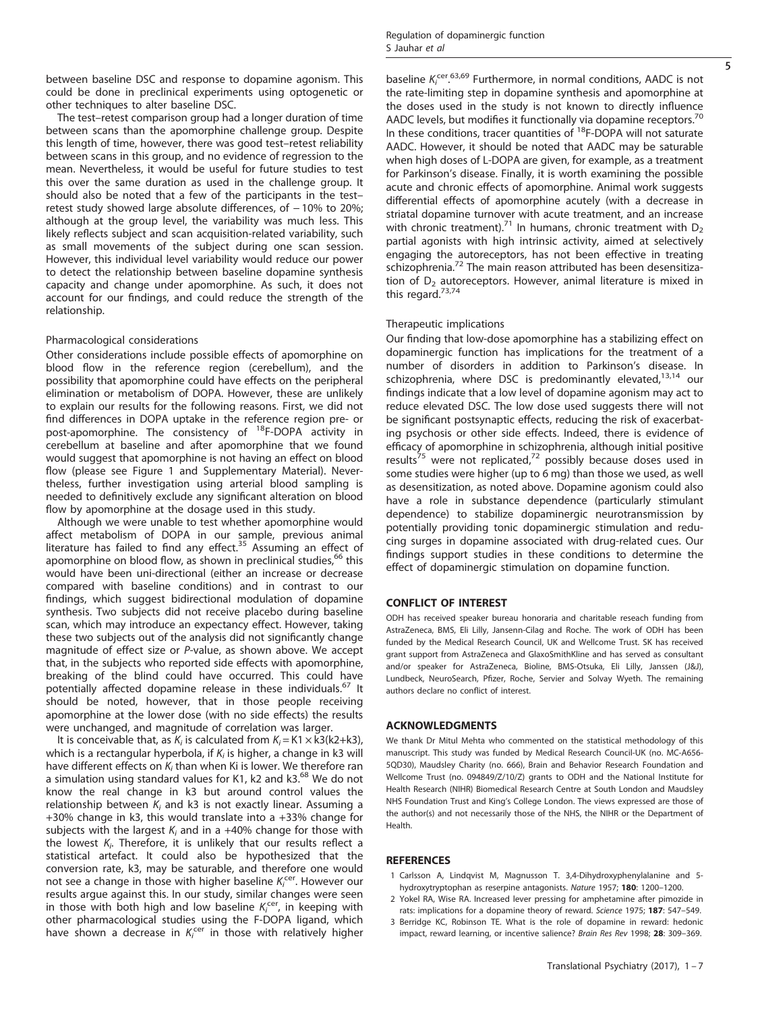<span id="page-4-0"></span>between baseline DSC and response to dopamine agonism. This could be done in preclinical experiments using optogenetic or other techniques to alter baseline DSC.

The test–retest comparison group had a longer duration of time between scans than the apomorphine challenge group. Despite this length of time, however, there was good test–retest reliability between scans in this group, and no evidence of regression to the mean. Nevertheless, it would be useful for future studies to test this over the same duration as used in the challenge group. It should also be noted that a few of the participants in the test– retest study showed large absolute differences, of −10% to 20%; although at the group level, the variability was much less. This likely reflects subject and scan acquisition-related variability, such as small movements of the subject during one scan session. However, this individual level variability would reduce our power to detect the relationship between baseline dopamine synthesis capacity and change under apomorphine. As such, it does not account for our findings, and could reduce the strength of the relationship.

# Pharmacological considerations

Other considerations include possible effects of apomorphine on blood flow in the reference region (cerebellum), and the possibility that apomorphine could have effects on the peripheral elimination or metabolism of DOPA. However, these are unlikely to explain our results for the following reasons. First, we did not find differences in DOPA uptake in the reference region pre- or post-apomorphine. The consistency of <sup>18</sup>F-DOPA activity in cerebellum at baseline and after apomorphine that we found would suggest that apomorphine is not having an effect on blood flow (please see [Figure 1](#page-2-0) and Supplementary Material). Nevertheless, further investigation using arterial blood sampling is needed to definitively exclude any significant alteration on blood flow by apomorphine at the dosage used in this study.

Although we were unable to test whether apomorphine would affect metabolism of DOPA in our sample, previous animal literature has failed to find any effect.<sup>[35](#page-5-0)</sup> Assuming an effect of apomorphine on blood flow, as shown in preclinical studies,<sup>[66](#page-6-0)</sup> this would have been uni-directional (either an increase or decrease compared with baseline conditions) and in contrast to our findings, which suggest bidirectional modulation of dopamine synthesis. Two subjects did not receive placebo during baseline scan, which may introduce an expectancy effect. However, taking these two subjects out of the analysis did not significantly change magnitude of effect size or P-value, as shown above. We accept that, in the subjects who reported side effects with apomorphine, breaking of the blind could have occurred. This could have potentially affected dopamine release in these individuals.<sup>[67](#page-6-0)</sup> It should be noted, however, that in those people receiving apomorphine at the lower dose (with no side effects) the results were unchanged, and magnitude of correlation was larger.

It is conceivable that, as  $K_i$  is calculated from  $K_i = K1 \times k3(k2+k3)$ , which is a rectangular hyperbola, if  $K_i$  is higher, a change in k3 will have different effects on  $K_i$  than when Ki is lower. We therefore ran a simulation using standard values for K1, k2 and k3.<sup>[68](#page-6-0)</sup> We do not know the real change in k3 but around control values the relationship between  $K_i$  and k3 is not exactly linear. Assuming a +30% change in k3, this would translate into a +33% change for subjects with the largest  $K_i$  and in a +40% change for those with the lowest  $K_i$ . Therefore, it is unlikely that our results reflect a statistical artefact. It could also be hypothesized that the conversion rate, k3, may be saturable, and therefore one would not see a change in those with higher baseline  $K_i^{\text{cer}}$ . However our results argue against this. In our study, similar changes were seen in those with both high and low baseline  $K_i^{cer}$ , in keeping with other pharmacological studies using the F-DOPA ligand, which have shown a decrease in  $K_i^{cer}$  in those with relatively higher

baseline  $K_i^{\text{cer }63,69}$  $K_i^{\text{cer }63,69}$  $K_i^{\text{cer }63,69}$  Furthermore, in normal conditions, AADC is not the rate-limiting step in dopamine synthesis and apomorphine at the doses used in the study is not known to directly influence AADC levels, but modifies it functionally via dopamine receptors.<sup>[70](#page-6-0)</sup> In these conditions, tracer quantities of 18F-DOPA will not saturate AADC. However, it should be noted that AADC may be saturable when high doses of L-DOPA are given, for example, as a treatment for Parkinson's disease. Finally, it is worth examining the possible acute and chronic effects of apomorphine. Animal work suggests differential effects of apomorphine acutely (with a decrease in striatal dopamine turnover with acute treatment, and an increase with chronic treatment).<sup>[71](#page-6-0)</sup> In humans, chronic treatment with  $D_2$ partial agonists with high intrinsic activity, aimed at selectively engaging the autoreceptors, has not been effective in treating schizophrenia.<sup>[72](#page-6-0)</sup> The main reason attributed has been desensitization of  $D<sub>2</sub>$  autoreceptors. However, animal literature is mixed in this regard.<sup>[73](#page-6-0),[74](#page-6-0)</sup>

# Therapeutic implications

Our finding that low-dose apomorphine has a stabilizing effect on dopaminergic function has implications for the treatment of a number of disorders in addition to Parkinson's disease. In schizophrenia, where DSC is predominantly elevated, $13,14$  our findings indicate that a low level of dopamine agonism may act to reduce elevated DSC. The low dose used suggests there will not be significant postsynaptic effects, reducing the risk of exacerbating psychosis or other side effects. Indeed, there is evidence of efficacy of apomorphine in schizophrenia, although initial positive results<sup>[75](#page-6-0)</sup> were not replicated,<sup>[72](#page-6-0)</sup> possibly because doses used in some studies were higher (up to 6 mg) than those we used, as well as desensitization, as noted above. Dopamine agonism could also have a role in substance dependence (particularly stimulant dependence) to stabilize dopaminergic neurotransmission by potentially providing tonic dopaminergic stimulation and reducing surges in dopamine associated with drug-related cues. Our findings support studies in these conditions to determine the effect of dopaminergic stimulation on dopamine function.

#### CONFLICT OF INTEREST

ODH has received speaker bureau honoraria and charitable reseach funding from AstraZeneca, BMS, Eli Lilly, Jansenn-Cilag and Roche. The work of ODH has been funded by the Medical Research Council, UK and Wellcome Trust. SK has received grant support from AstraZeneca and GlaxoSmithKline and has served as consultant and/or speaker for AstraZeneca, Bioline, BMS-Otsuka, Eli Lilly, Janssen (J&J), Lundbeck, NeuroSearch, Pfizer, Roche, Servier and Solvay Wyeth. The remaining authors declare no conflict of interest.

## ACKNOWLEDGMENTS

We thank Dr Mitul Mehta who commented on the statistical methodology of this manuscript. This study was funded by Medical Research Council-UK (no. MC-A656- 5QD30), Maudsley Charity (no. 666), Brain and Behavior Research Foundation and Wellcome Trust (no. 094849/Z/10/Z) grants to ODH and the National Institute for Health Research (NIHR) Biomedical Research Centre at South London and Maudsley NHS Foundation Trust and King's College London. The views expressed are those of the author(s) and not necessarily those of the NHS, the NIHR or the Department of Health.

#### **REFERENCES**

- 1 Carlsson A, Lindqvist M, Magnusson T. 3,4-Dihydroxyphenylalanine and 5 hydroxytryptophan as reserpine antagonists. Nature 1957; 180: 1200–1200.
- 2 Yokel RA, Wise RA. Increased lever pressing for amphetamine after pimozide in rats: implications for a dopamine theory of reward. Science 1975; 187: 547-549.
- 3 Berridge KC, Robinson TE. What is the role of dopamine in reward: hedonic impact, reward learning, or incentive salience? Brain Res Rev 1998; 28: 309–369.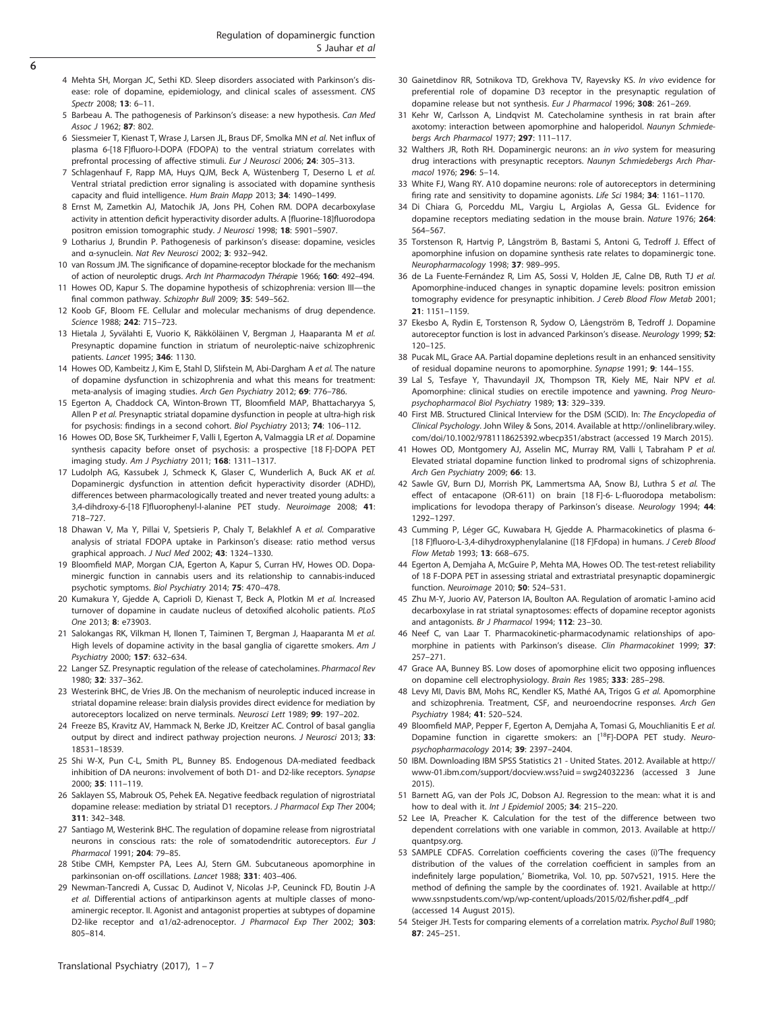- <span id="page-5-0"></span>4 Mehta SH, Morgan JC, Sethi KD. Sleep disorders associated with Parkinson's disease: role of dopamine, epidemiology, and clinical scales of assessment. CNS Spectr 2008; 13: 6–11.
- 5 Barbeau A. The pathogenesis of Parkinson's disease: a new hypothesis. Can Med Assoc J 1962; 87: 802.
- 6 Siessmeier T, Kienast T, Wrase J, Larsen JL, Braus DF, Smolka MN et al. Net influx of plasma 6-[18 F]fluoro-l-DOPA (FDOPA) to the ventral striatum correlates with prefrontal processing of affective stimuli. Eur J Neurosci 2006; 24: 305–313.
- 7 Schlagenhauf F, Rapp MA, Huys QJM, Beck A, Wüstenberg T, Deserno L et al. Ventral striatal prediction error signaling is associated with dopamine synthesis capacity and fluid intelligence. Hum Brain Mapp 2013; 34: 1490–1499.
- 8 Ernst M, Zametkin AJ, Matochik JA, Jons PH, Cohen RM. DOPA decarboxylase activity in attention deficit hyperactivity disorder adults. A [fluorine-18]fluorodopa positron emission tomographic study. J Neurosci 1998; 18: 5901-5907.
- 9 Lotharius J, Brundin P. Pathogenesis of parkinson's disease: dopamine, vesicles and α-synuclein. Nat Rev Neurosci 2002; 3: 932–942.
- 10 van Rossum JM. The significance of dopamine-receptor blockade for the mechanism of action of neuroleptic drugs. Arch Int Pharmacodyn Thérapie 1966; 160: 492–494.
- 11 Howes OD, Kapur S. The dopamine hypothesis of schizophrenia: version III—the final common pathway. Schizophr Bull 2009; 35: 549–562.
- 12 Koob GF, Bloom FE. Cellular and molecular mechanisms of drug dependence. Science 1988; 242: 715–723.
- 13 Hietala J, Syvälahti E, Vuorio K, Räkköläinen V, Bergman J, Haaparanta M et al. Presynaptic dopamine function in striatum of neuroleptic-naive schizophrenic patients. Lancet 1995; 346: 1130.
- 14 Howes OD, Kambeitz J, Kim E, Stahl D, Slifstein M, Abi-Dargham A et al. The nature of dopamine dysfunction in schizophrenia and what this means for treatment: meta-analysis of imaging studies. Arch Gen Psychiatry 2012; 69: 776–786.
- 15 Egerton A, Chaddock CA, Winton-Brown TT, Bloomfield MAP, Bhattacharyya S, Allen P et al. Presynaptic striatal dopamine dysfunction in people at ultra-high risk for psychosis: findings in a second cohort. Biol Psychiatry 2013; 74: 106–112.
- 16 Howes OD, Bose SK, Turkheimer F, Valli I, Egerton A, Valmaggia LR et al. Dopamine synthesis capacity before onset of psychosis: a prospective [18 F]-DOPA PET imaging study. Am J Psychiatry 2011; 168: 1311–1317.
- 17 Ludolph AG, Kassubek J, Schmeck K, Glaser C, Wunderlich A, Buck AK et al. Dopaminergic dysfunction in attention deficit hyperactivity disorder (ADHD), differences between pharmacologically treated and never treated young adults: a 3,4-dihdroxy-6-[18 F]fluorophenyl-l-alanine PET study. Neuroimage 2008; 41: 718–727.
- 18 Dhawan V, Ma Y, Pillai V, Spetsieris P, Chaly T, Belakhlef A et al. Comparative analysis of striatal FDOPA uptake in Parkinson's disease: ratio method versus graphical approach. J Nucl Med 2002; 43: 1324–1330.
- 19 Bloomfield MAP, Morgan CJA, Egerton A, Kapur S, Curran HV, Howes OD. Dopaminergic function in cannabis users and its relationship to cannabis-induced psychotic symptoms. Biol Psychiatry 2014; 75: 470–478.
- 20 Kumakura Y, Gjedde A, Caprioli D, Kienast T, Beck A, Plotkin M et al. Increased turnover of dopamine in caudate nucleus of detoxified alcoholic patients. PLoS One 2013; 8: e73903.
- 21 Salokangas RK, Vilkman H, Ilonen T, Taiminen T, Bergman J, Haaparanta M et al. High levels of dopamine activity in the basal ganglia of cigarette smokers. Am J Psychiatry 2000; 157: 632–634.
- 22 Langer SZ. Presynaptic regulation of the release of catecholamines. Pharmacol Rev 1980; 32: 337–362.
- 23 Westerink BHC, de Vries JB. On the mechanism of neuroleptic induced increase in striatal dopamine release: brain dialysis provides direct evidence for mediation by autoreceptors localized on nerve terminals. Neurosci Lett 1989; 99: 197–202.
- 24 Freeze BS, Kravitz AV, Hammack N, Berke JD, Kreitzer AC. Control of basal ganglia output by direct and indirect pathway projection neurons. J Neurosci 2013; 33: 18531–18539.
- 25 Shi W-X, Pun C-L, Smith PL, Bunney BS. Endogenous DA-mediated feedback inhibition of DA neurons: involvement of both D1- and D2-like receptors. Synapse 2000; 35: 111–119.
- 26 Saklayen SS, Mabrouk OS, Pehek EA. Negative feedback regulation of nigrostriatal dopamine release: mediation by striatal D1 receptors. J Pharmacol Exp Ther 2004; 311: 342–348.
- 27 Santiago M, Westerink BHC. The regulation of dopamine release from nigrostriatal neurons in conscious rats: the role of somatodendritic autoreceptors. Eur J Pharmacol 1991; 204: 79–85.
- 28 Stibe CMH, Kempster PA, Lees AJ, Stern GM. Subcutaneous apomorphine in parkinsonian on-off oscillations. Lancet 1988; 331: 403–406.
- 29 Newman-Tancredi A, Cussac D, Audinot V, Nicolas J-P, Ceuninck FD, Boutin J-A et al. Differential actions of antiparkinson agents at multiple classes of monoaminergic receptor. II. Agonist and antagonist properties at subtypes of dopamine D2-like receptor and α1/α2-adrenoceptor. J Pharmacol Exp Ther 2002; 303: 805–814.
- 30 Gainetdinov RR, Sotnikova TD, Grekhova TV, Rayevsky KS. In vivo evidence for preferential role of dopamine D3 receptor in the presynaptic regulation of dopamine release but not synthesis. Eur J Pharmacol 1996; 308: 261-269.
- 31 Kehr W, Carlsson A, Lindqvist M. Catecholamine synthesis in rat brain after axotomy: interaction between apomorphine and haloperidol. Naunyn Schmiedebergs Arch Pharmacol 1977; 297: 111–117.
- 32 Walthers JR, Roth RH. Dopaminergic neurons: an in vivo system for measuring drug interactions with presynaptic receptors. Naunyn Schmiedebergs Arch Pharmacol 1976; 296: 5–14.
- 33 White FJ, Wang RY. A10 dopamine neurons: role of autoreceptors in determining firing rate and sensitivity to dopamine agonists. Life Sci 1984; 34: 1161-1170.
- 34 Di Chiara G, Porceddu ML, Vargiu L, Argiolas A, Gessa GL. Evidence for dopamine receptors mediating sedation in the mouse brain. Nature 1976; 264: 564–567.
- 35 Torstenson R, Hartvig P, Långström B, Bastami S, Antoni G, Tedroff J. Effect of apomorphine infusion on dopamine synthesis rate relates to dopaminergic tone. Neuropharmacology 1998; 37: 989–995.
- 36 de La Fuente-Fernández R, Lim AS, Sossi V, Holden JE, Calne DB, Ruth TJ et al. Apomorphine-induced changes in synaptic dopamine levels: positron emission tomography evidence for presynaptic inhibition. J Cereb Blood Flow Metab 2001; 21: 1151–1159.
- 37 Ekesbo A, Rydin E, Torstenson R, Sydow O, Låengström B, Tedroff J. Dopamine autoreceptor function is lost in advanced Parkinson's disease. Neurology 1999; 52: 120–125.
- 38 Pucak ML, Grace AA. Partial dopamine depletions result in an enhanced sensitivity of residual dopamine neurons to apomorphine. Synapse 1991; 9: 144-155.
- 39 Lal S, Tesfaye Y, Thavundayil JX, Thompson TR, Kiely ME, Nair NPV et al. Apomorphine: clinical studies on erectile impotence and yawning. Prog Neuropsychopharmacol Biol Psychiatry 1989; 13: 329–339.
- 40 First MB. Structured Clinical Interview for the DSM (SCID). In: The Encyclopedia of Clinical Psychology. John Wiley & Sons, 2014. Available at http://onlinelibrary.wiley. com/doi/10.1002/9781118625392.wbecp351/abstract (accessed 19 March 2015).
- 41 Howes OD, Montgomery AJ, Asselin MC, Murray RM, Valli I, Tabraham P et al. Elevated striatal dopamine function linked to prodromal signs of schizophrenia. Arch Gen Psychiatry 2009; 66: 13.
- 42 Sawle GV, Burn DJ, Morrish PK, Lammertsma AA, Snow BJ, Luthra S et al. The effect of entacapone (OR-611) on brain [18 F]-6- L-fluorodopa metabolism: implications for levodopa therapy of Parkinson's disease. Neurology 1994; 44: 1292–1297.
- 43 Cumming P, Léger GC, Kuwabara H, Gjedde A. Pharmacokinetics of plasma 6- [18 F]fluoro-L-3,4-dihydroxyphenylalanine ([18 F]Fdopa) in humans. J Cereb Blood Flow Metab 1993; 13: 668–675.
- 44 Egerton A, Demjaha A, McGuire P, Mehta MA, Howes OD. The test-retest reliability of 18 F-DOPA PET in assessing striatal and extrastriatal presynaptic dopaminergic function. Neuroimage 2010; 50: 524–531.
- 45 Zhu M-Y, Juorio AV, Paterson IA, Boulton AA. Regulation of aromatic l-amino acid decarboxylase in rat striatal synaptosomes: effects of dopamine receptor agonists and antagonists. Br J Pharmacol 1994; 112: 23–30.
- 46 Neef C, van Laar T. Pharmacokinetic-pharmacodynamic relationships of apomorphine in patients with Parkinson's disease. Clin Pharmacokinet 1999; 37: 257–271.
- 47 Grace AA, Bunney BS. Low doses of apomorphine elicit two opposing influences on dopamine cell electrophysiology. Brain Res 1985; 333: 285–298.
- 48 Levy MI, Davis BM, Mohs RC, Kendler KS, Mathé AA, Trigos G et al. Apomorphine and schizophrenia. Treatment, CSF, and neuroendocrine responses. Arch Gen Psychiatry 1984; 41: 520–524.
- 49 Bloomfield MAP, Pepper F, Egerton A, Demjaha A, Tomasi G, Mouchlianitis E et al. Dopamine function in cigarette smokers: an [<sup>18</sup>F]-DOPA PET study. Neuropsychopharmacology 2014; 39: 2397–2404.
- 50 IBM. Downloading IBM SPSS Statistics 21 United States. 2012. Available at [http://](http://www-01.ibm.com/support/docview.wss?uid�=�swg24032236) [www-01.ibm.com/support/docview.wss?uid = swg24032236](http://www-01.ibm.com/support/docview.wss?uid�=�swg24032236) (accessed 3 June 2015).
- 51 Barnett AG, van der Pols JC, Dobson AJ. Regression to the mean: what it is and how to deal with it. Int J Epidemiol 2005: 34: 215-220.
- 52 Lee IA, Preacher K. Calculation for the test of the difference between two dependent correlations with one variable in common, 2013. Available at [http://](http://quantpsy.org) [quantpsy.org](http://quantpsy.org).
- 53 SAMPLE CDFAS. Correlation coefficients covering the cases (i)'The frequency distribution of the values of the correlation coefficient in samples from an indefinitely large population,' Biometrika, Vol. 10, pp. 507v521, 1915. Here the method of defining the sample by the coordinates of. 1921. Available at [http://](http://www.ssnpstudents.com/wp/wp-content/uploads/2015/02/fisher.pdf4_.pdf) [www.ssnpstudents.com/wp/wp-content/uploads/2015/02/](http://www.ssnpstudents.com/wp/wp-content/uploads/2015/02/fisher.pdf4_.pdf)fisher.pdf4\_.pdf (accessed 14 August 2015).
- 54 Steiger JH. Tests for comparing elements of a correlation matrix. Psychol Bull 1980; 87: 245–251.